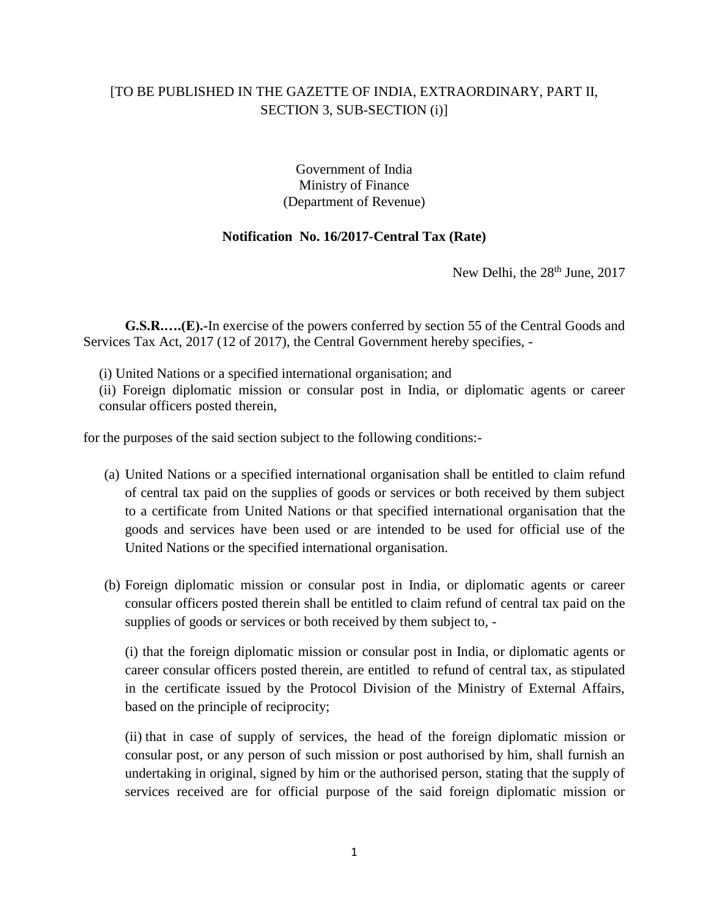## [TO BE PUBLISHED IN THE GAZETTE OF INDIA, EXTRAORDINARY, PART II, SECTION 3, SUB-SECTION (i)]

## Government of India Ministry of Finance (Department of Revenue)

## **Notification No. 16/2017-Central Tax (Rate)**

New Delhi, the 28<sup>th</sup> June, 2017

**G.S.R.….(E).-**In exercise of the powers conferred by section 55 of the Central Goods and Services Tax Act, 2017 (12 of 2017), the Central Government hereby specifies, -

(i) United Nations or a specified international organisation; and

(ii) Foreign diplomatic mission or consular post in India, or diplomatic agents or career consular officers posted therein,

for the purposes of the said section subject to the following conditions:-

- (a) United Nations or a specified international organisation shall be entitled to claim refund of central tax paid on the supplies of goods or services or both received by them subject to a certificate from United Nations or that specified international organisation that the goods and services have been used or are intended to be used for official use of the United Nations or the specified international organisation.
- (b) Foreign diplomatic mission or consular post in India, or diplomatic agents or career consular officers posted therein shall be entitled to claim refund of central tax paid on the supplies of goods or services or both received by them subject to, -

(i) that the foreign diplomatic mission or consular post in India, or diplomatic agents or career consular officers posted therein, are entitled to refund of central tax, as stipulated in the certificate issued by the Protocol Division of the Ministry of External Affairs, based on the principle of reciprocity;

(ii) that in case of supply of services, the head of the foreign diplomatic mission or consular post, or any person of such mission or post authorised by him, shall furnish an undertaking in original, signed by him or the authorised person, stating that the supply of services received are for official purpose of the said foreign diplomatic mission or